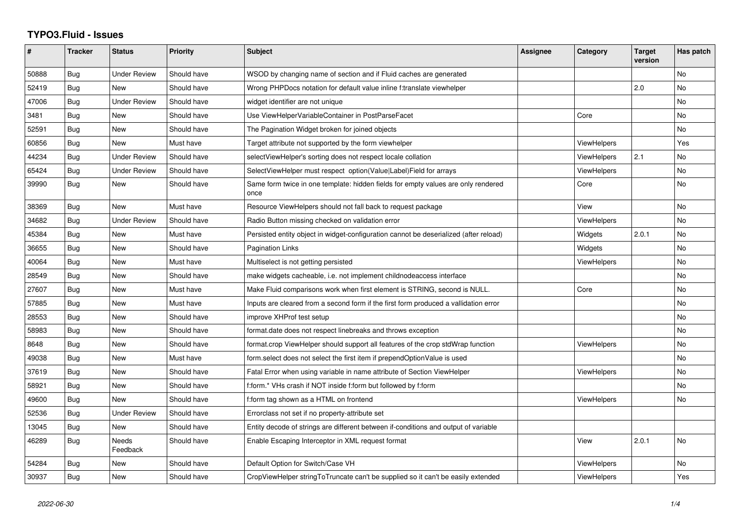## **TYPO3.Fluid - Issues**

| #     | <b>Tracker</b> | <b>Status</b>            | <b>Priority</b> | <b>Subject</b>                                                                            | Assignee | Category           | <b>Target</b><br>version | Has patch |
|-------|----------------|--------------------------|-----------------|-------------------------------------------------------------------------------------------|----------|--------------------|--------------------------|-----------|
| 50888 | Bug            | <b>Under Review</b>      | Should have     | WSOD by changing name of section and if Fluid caches are generated                        |          |                    |                          | No        |
| 52419 | <b>Bug</b>     | New                      | Should have     | Wrong PHPDocs notation for default value inline f:translate viewhelper                    |          |                    | 2.0                      | <b>No</b> |
| 47006 | Bug            | <b>Under Review</b>      | Should have     | widget identifier are not unique                                                          |          |                    |                          | <b>No</b> |
| 3481  | Bug            | New                      | Should have     | Use ViewHelperVariableContainer in PostParseFacet                                         |          | Core               |                          | <b>No</b> |
| 52591 | Bug            | New                      | Should have     | The Pagination Widget broken for joined objects                                           |          |                    |                          | No        |
| 60856 | Bug            | New                      | Must have       | Target attribute not supported by the form viewhelper                                     |          | <b>ViewHelpers</b> |                          | Yes       |
| 44234 | Bug            | <b>Under Review</b>      | Should have     | selectViewHelper's sorting does not respect locale collation                              |          | <b>ViewHelpers</b> | 2.1                      | <b>No</b> |
| 65424 | Bug            | <b>Under Review</b>      | Should have     | SelectViewHelper must respect option(Value Label)Field for arrays                         |          | ViewHelpers        |                          | No        |
| 39990 | Bug            | New                      | Should have     | Same form twice in one template: hidden fields for empty values are only rendered<br>once |          | Core               |                          | <b>No</b> |
| 38369 | Bug            | New                      | Must have       | Resource ViewHelpers should not fall back to request package                              |          | View               |                          | <b>No</b> |
| 34682 | <b>Bug</b>     | <b>Under Review</b>      | Should have     | Radio Button missing checked on validation error                                          |          | ViewHelpers        |                          | <b>No</b> |
| 45384 | Bug            | New                      | Must have       | Persisted entity object in widget-configuration cannot be deserialized (after reload)     |          | Widgets            | 2.0.1                    | No        |
| 36655 | Bug            | New                      | Should have     | <b>Pagination Links</b>                                                                   |          | Widgets            |                          | <b>No</b> |
| 40064 | <b>Bug</b>     | New                      | Must have       | Multiselect is not getting persisted                                                      |          | ViewHelpers        |                          | <b>No</b> |
| 28549 | Bug            | New                      | Should have     | make widgets cacheable, i.e. not implement childnodeaccess interface                      |          |                    |                          | <b>No</b> |
| 27607 | Bug            | New                      | Must have       | Make Fluid comparisons work when first element is STRING, second is NULL.                 |          | Core               |                          | No        |
| 57885 | Bug            | New                      | Must have       | Inputs are cleared from a second form if the first form produced a vallidation error      |          |                    |                          | No        |
| 28553 | Bug            | New                      | Should have     | improve XHProf test setup                                                                 |          |                    |                          | No        |
| 58983 | Bug            | <b>New</b>               | Should have     | format.date does not respect linebreaks and throws exception                              |          |                    |                          | No        |
| 8648  | Bug            | New                      | Should have     | format.crop ViewHelper should support all features of the crop stdWrap function           |          | ViewHelpers        |                          | <b>No</b> |
| 49038 | Bug            | New                      | Must have       | form.select does not select the first item if prependOptionValue is used                  |          |                    |                          | No        |
| 37619 | Bug            | <b>New</b>               | Should have     | Fatal Error when using variable in name attribute of Section ViewHelper                   |          | ViewHelpers        |                          | <b>No</b> |
| 58921 | Bug            | New                      | Should have     | f:form.* VHs crash if NOT inside f:form but followed by f:form                            |          |                    |                          | No        |
| 49600 | Bug            | New                      | Should have     | f:form tag shown as a HTML on frontend                                                    |          | <b>ViewHelpers</b> |                          | <b>No</b> |
| 52536 | <b>Bug</b>     | Under Review             | Should have     | Errorclass not set if no property-attribute set                                           |          |                    |                          |           |
| 13045 | Bug            | New                      | Should have     | Entity decode of strings are different between if-conditions and output of variable       |          |                    |                          |           |
| 46289 | <b>Bug</b>     | <b>Needs</b><br>Feedback | Should have     | Enable Escaping Interceptor in XML request format                                         |          | View               | 2.0.1                    | <b>No</b> |
| 54284 | Bug            | New                      | Should have     | Default Option for Switch/Case VH                                                         |          | ViewHelpers        |                          | No        |
| 30937 | Bug            | New                      | Should have     | CropViewHelper stringToTruncate can't be supplied so it can't be easily extended          |          | ViewHelpers        |                          | Yes       |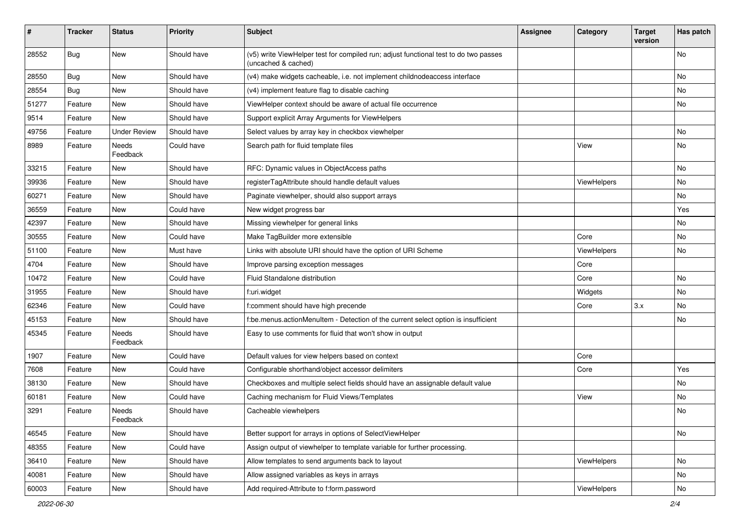| ∦     | <b>Tracker</b> | <b>Status</b>            | <b>Priority</b> | <b>Subject</b>                                                                                              | <b>Assignee</b> | Category    | <b>Target</b><br>version | Has patch |
|-------|----------------|--------------------------|-----------------|-------------------------------------------------------------------------------------------------------------|-----------------|-------------|--------------------------|-----------|
| 28552 | Bug            | New                      | Should have     | (v5) write ViewHelper test for compiled run; adjust functional test to do two passes<br>(uncached & cached) |                 |             |                          | No        |
| 28550 | Bug            | New                      | Should have     | (v4) make widgets cacheable, i.e. not implement childnodeaccess interface                                   |                 |             |                          | No        |
| 28554 | Bug            | <b>New</b>               | Should have     | (v4) implement feature flag to disable caching                                                              |                 |             |                          | No        |
| 51277 | Feature        | New                      | Should have     | ViewHelper context should be aware of actual file occurrence                                                |                 |             |                          | No        |
| 9514  | Feature        | <b>New</b>               | Should have     | Support explicit Array Arguments for ViewHelpers                                                            |                 |             |                          |           |
| 49756 | Feature        | <b>Under Review</b>      | Should have     | Select values by array key in checkbox viewhelper                                                           |                 |             |                          | No        |
| 8989  | Feature        | <b>Needs</b><br>Feedback | Could have      | Search path for fluid template files                                                                        |                 | View        |                          | No        |
| 33215 | Feature        | New                      | Should have     | RFC: Dynamic values in ObjectAccess paths                                                                   |                 |             |                          | No.       |
| 39936 | Feature        | New                      | Should have     | registerTagAttribute should handle default values                                                           |                 | ViewHelpers |                          | No        |
| 60271 | Feature        | New                      | Should have     | Paginate viewhelper, should also support arrays                                                             |                 |             |                          | No        |
| 36559 | Feature        | New                      | Could have      | New widget progress bar                                                                                     |                 |             |                          | Yes       |
| 42397 | Feature        | <b>New</b>               | Should have     | Missing viewhelper for general links                                                                        |                 |             |                          | No.       |
| 30555 | Feature        | New                      | Could have      | Make TagBuilder more extensible                                                                             |                 | Core        |                          | No        |
| 51100 | Feature        | New                      | Must have       | Links with absolute URI should have the option of URI Scheme                                                |                 | ViewHelpers |                          | No        |
| 4704  | Feature        | New                      | Should have     | Improve parsing exception messages                                                                          |                 | Core        |                          |           |
| 10472 | Feature        | New                      | Could have      | Fluid Standalone distribution                                                                               |                 | Core        |                          | No        |
| 31955 | Feature        | <b>New</b>               | Should have     | f:uri.widget                                                                                                |                 | Widgets     |                          | No.       |
| 62346 | Feature        | New                      | Could have      | f:comment should have high precende                                                                         |                 | Core        | 3.x                      | No        |
| 45153 | Feature        | New                      | Should have     | f:be.menus.actionMenuItem - Detection of the current select option is insufficient                          |                 |             |                          | No        |
| 45345 | Feature        | <b>Needs</b><br>Feedback | Should have     | Easy to use comments for fluid that won't show in output                                                    |                 |             |                          |           |
| 1907  | Feature        | New                      | Could have      | Default values for view helpers based on context                                                            |                 | Core        |                          |           |
| 7608  | Feature        | New                      | Could have      | Configurable shorthand/object accessor delimiters                                                           |                 | Core        |                          | Yes       |
| 38130 | Feature        | New                      | Should have     | Checkboxes and multiple select fields should have an assignable default value                               |                 |             |                          | No        |
| 60181 | Feature        | <b>New</b>               | Could have      | Caching mechanism for Fluid Views/Templates                                                                 |                 | View        |                          | No.       |
| 3291  | Feature        | Needs<br>Feedback        | Should have     | Cacheable viewhelpers                                                                                       |                 |             |                          | No        |
| 46545 | Feature        | New                      | Should have     | Better support for arrays in options of SelectViewHelper                                                    |                 |             |                          | No        |
| 48355 | Feature        | New                      | Could have      | Assign output of viewhelper to template variable for further processing.                                    |                 |             |                          |           |
| 36410 | Feature        | New                      | Should have     | Allow templates to send arguments back to layout                                                            |                 | ViewHelpers |                          | No        |
| 40081 | Feature        | New                      | Should have     | Allow assigned variables as keys in arrays                                                                  |                 |             |                          | No        |
| 60003 | Feature        | New                      | Should have     | Add required-Attribute to f:form.password                                                                   |                 | ViewHelpers |                          | No        |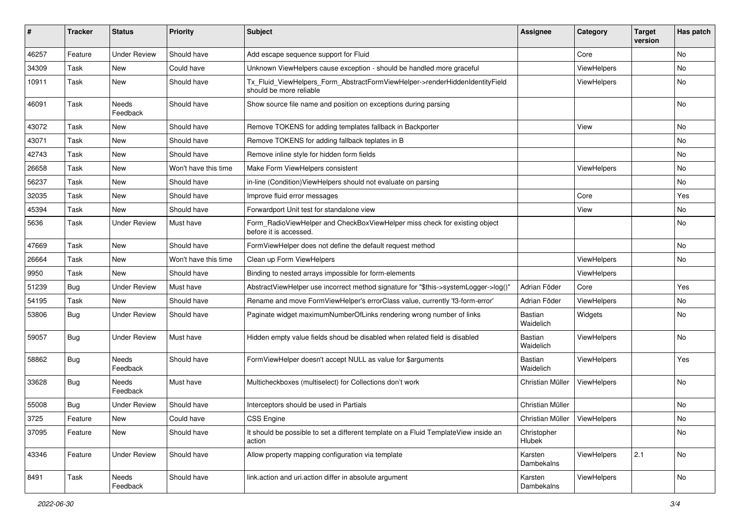| ∦     | <b>Tracker</b> | <b>Status</b>            | <b>Priority</b>      | <b>Subject</b>                                                                                         | <b>Assignee</b>                | Category           | <b>Target</b><br>version | Has patch |
|-------|----------------|--------------------------|----------------------|--------------------------------------------------------------------------------------------------------|--------------------------------|--------------------|--------------------------|-----------|
| 46257 | Feature        | <b>Under Review</b>      | Should have          | Add escape sequence support for Fluid                                                                  |                                | Core               |                          | No        |
| 34309 | Task           | New                      | Could have           | Unknown ViewHelpers cause exception - should be handled more graceful                                  |                                | ViewHelpers        |                          | No        |
| 10911 | Task           | New                      | Should have          | Tx Fluid ViewHelpers Form AbstractFormViewHelper->renderHiddenIdentityField<br>should be more reliable |                                | ViewHelpers        |                          | No        |
| 46091 | Task           | Needs<br>Feedback        | Should have          | Show source file name and position on exceptions during parsing                                        |                                |                    |                          | No        |
| 43072 | Task           | New                      | Should have          | Remove TOKENS for adding templates fallback in Backporter                                              |                                | View               |                          | No        |
| 43071 | Task           | New                      | Should have          | Remove TOKENS for adding fallback teplates in B                                                        |                                |                    |                          | No        |
| 42743 | Task           | New                      | Should have          | Remove inline style for hidden form fields                                                             |                                |                    |                          | No        |
| 26658 | Task           | New                      | Won't have this time | Make Form ViewHelpers consistent                                                                       |                                | ViewHelpers        |                          | No        |
| 56237 | Task           | New                      | Should have          | in-line (Condition) View Helpers should not evaluate on parsing                                        |                                |                    |                          | No        |
| 32035 | Task           | New                      | Should have          | Improve fluid error messages                                                                           |                                | Core               |                          | Yes       |
| 45394 | Task           | New                      | Should have          | Forwardport Unit test for standalone view                                                              |                                | View               |                          | No        |
| 5636  | Task           | <b>Under Review</b>      | Must have            | Form_RadioViewHelper and CheckBoxViewHelper miss check for existing object<br>before it is accessed.   |                                |                    |                          | No        |
| 47669 | Task           | New                      | Should have          | FormViewHelper does not define the default request method                                              |                                |                    |                          | No.       |
| 26664 | Task           | New                      | Won't have this time | Clean up Form ViewHelpers                                                                              |                                | ViewHelpers        |                          | No        |
| 9950  | Task           | New                      | Should have          | Binding to nested arrays impossible for form-elements                                                  |                                | ViewHelpers        |                          |           |
| 51239 | <b>Bug</b>     | <b>Under Review</b>      | Must have            | AbstractViewHelper use incorrect method signature for "\$this->systemLogger->log()"                    | Adrian Föder                   | Core               |                          | Yes       |
| 54195 | Task           | New                      | Should have          | Rename and move FormViewHelper's errorClass value, currently 'f3-form-error'                           | Adrian Föder                   | ViewHelpers        |                          | No        |
| 53806 | <b>Bug</b>     | <b>Under Review</b>      | Should have          | Paginate widget maximumNumberOfLinks rendering wrong number of links                                   | Bastian<br>Waidelich           | Widgets            |                          | No        |
| 59057 | <b>Bug</b>     | <b>Under Review</b>      | Must have            | Hidden empty value fields shoud be disabled when related field is disabled                             | Bastian<br>Waidelich           | ViewHelpers        |                          | No        |
| 58862 | Bug            | <b>Needs</b><br>Feedback | Should have          | FormViewHelper doesn't accept NULL as value for \$arguments                                            | <b>Bastian</b><br>Waidelich    | ViewHelpers        |                          | Yes       |
| 33628 | <b>Bug</b>     | Needs<br>Feedback        | Must have            | Multicheckboxes (multiselect) for Collections don't work                                               | Christian Müller               | <b>ViewHelpers</b> |                          | No        |
| 55008 | <b>Bug</b>     | <b>Under Review</b>      | Should have          | Interceptors should be used in Partials                                                                | Christian Müller               |                    |                          | No        |
| 3725  | Feature        | New                      | Could have           | CSS Engine                                                                                             | Christian Müller   ViewHelpers |                    |                          | No        |
| 37095 | Feature        | New                      | Should have          | It should be possible to set a different template on a Fluid TemplateView inside an<br>action          | Christopher<br>Hlubek          |                    |                          | No        |
| 43346 | Feature        | <b>Under Review</b>      | Should have          | Allow property mapping configuration via template                                                      | Karsten<br>Dambekalns          | ViewHelpers        | 2.1                      | No        |
| 8491  | Task           | Needs<br>Feedback        | Should have          | link.action and uri.action differ in absolute argument                                                 | Karsten<br>Dambekalns          | ViewHelpers        |                          | No        |